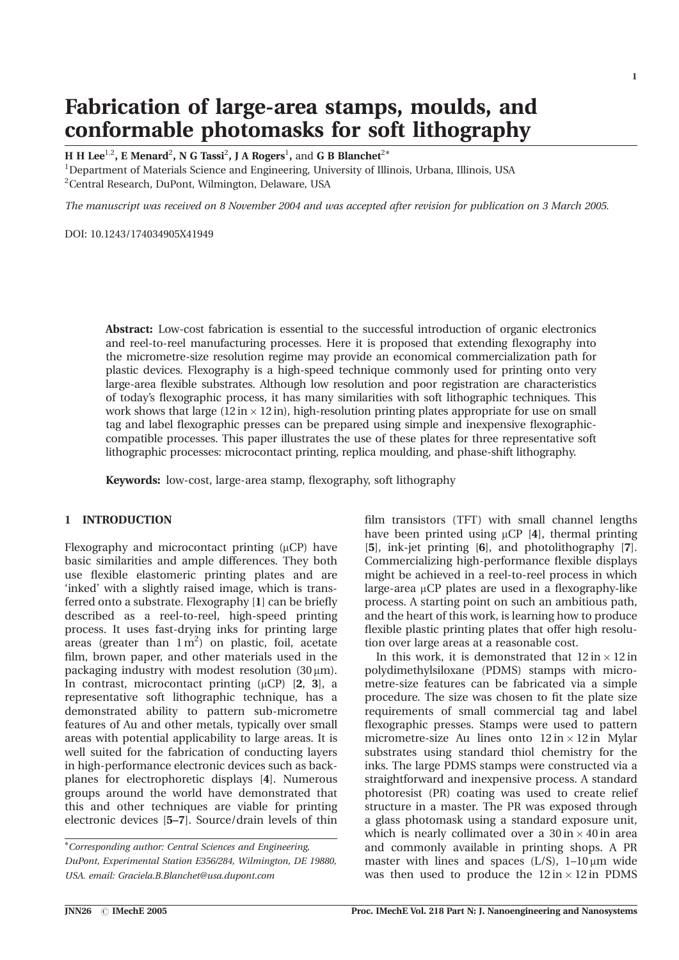# Fabrication of large-area stamps, moulds, and conformable photomasks for soft lithography

H H Lee<sup>1,2</sup>, E Menard<sup>2</sup>, N G Tassi<sup>2</sup>, J A Rogers<sup>1</sup>, and G B Blanchet<sup>2\*</sup>

<sup>1</sup>Department of Materials Science and Engineering, University of Illinois, Urbana, Illinois, USA <sup>2</sup> Central Research, DuPont, Wilmington, Delaware, USA

The manuscript was received on 8 November 2004 and was accepted after revision for publication on 3 March 2005.

DOI: 10 1243/174034905X41949

Abstract: Low-cost fabrication is essential to the successful introduction of organic electronics and reel-to-reel manufacturing processes. Here it is proposed that extending flexography into the micrometre-size resolution regime may provide an economical commercialization path for plastic devices. Flexography is a high-speed technique commonly used for printing onto very large-area flexible substrates. Although low resolution and poor registration are characteristics of today's flexographic process, it has many similarities with soft lithographic techniques. This work shows that large  $(12 \text{ in} \times 12 \text{ in})$ , high-resolution printing plates appropriate for use on small tag and label flexographic presses can be prepared using simple and inexpensive flexographiccompatible processes. This paper illustrates the use of these plates for three representative soft lithographic processes: microcontact printing, replica moulding, and phase-shift lithography.

Keywords: low-cost, large-area stamp, flexography, soft lithography

### 1 INTRODUCTION

Flexography and microcontact printing  $(\mu CP)$  have basic similarities and ample differences. They both use flexible elastomeric printing plates and are 'inked' with a slightly raised image, which is transferred onto a substrate. Flexography [1] can be briefly described as a reel-to-reel, high-speed printing process. It uses fast-drying inks for printing large areas (greater than  $1 \text{ m}^2$ ) on plastic, foil, acetate film, brown paper, and other materials used in the packaging industry with modest resolution  $(30 \,\mu m)$ . In contrast, microcontact printing  $(\mu CP)$  [2, 3], a representative soft lithographic technique, has a demonstrated ability to pattern sub-micrometre features of Au and other metals, typically over small areas with potential applicability to large areas. It is well suited for the fabrication of conducting layers in high-performance electronic devices such as backplanes for electrophoretic displays [4]. Numerous groups around the world have demonstrated that this and other techniques are viable for printing electronic devices [5-7]. Source/drain levels of thin

film transistors (TFT) with small channel lengths have been printed using  $\mu CP$  [4], thermal printing [5], ink-jet printing [6], and photolithography [7]. Commercializing high-performance flexible displays might be achieved in a reel-to-reel process in which large-area µCP plates are used in a flexography-like process. A starting point on such an ambitious path, and the heart of this work, is learning how to produce flexible plastic printing plates that offer high resolution over large areas at a reasonable cost.

In this work, it is demonstrated that  $12 \text{ in} \times 12 \text{ in}$ polydimethylsiloxane (PDMS) stamps with micrometre-size features can be fabricated via a simple procedure. The size was chosen to fit the plate size requirements of small commercial tag and label flexographic presses. Stamps were used to pattern micrometre-size Au lines onto  $12 \text{ in} \times 12 \text{ in}$  Mylar substrates using standard thiol chemistry for the inks. The large PDMS stamps were constructed via a straightforward and inexpensive process. A standard photoresist (PR) coating was used to create relief structure in a master. The PR was exposed through a glass photomask using a standard exposure unit, which is nearly collimated over a  $30 \text{ in} \times 40 \text{ in}$  area and commonly available in printing shops. A PR master with lines and spaces  $(L/S)$ , 1-10  $\mu$ m wide was then used to produce the  $12 \text{ in} \times 12 \text{ in PDMS}$ 

<sup>\*</sup>Corresponding author: Central Sciences and Engineering, DuPont, Experimental Station E356/284, Wilmington, DE 19880, USA. email: Graciela.B.Blanchet@usa.dupont.com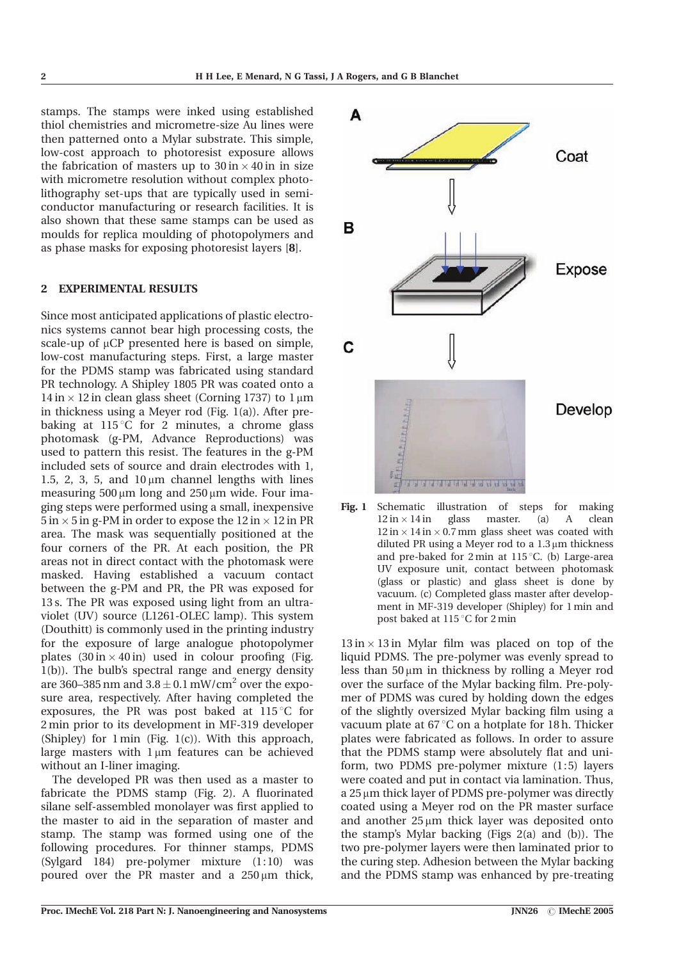stamps. The stamps were inked using established thiol chemistries and micrometre-size Au lines were then patterned onto a Mylar substrate. This simple, low-cost approach to photoresist exposure allows the fabrication of masters up to  $30 \text{ in} \times 40 \text{ in}$  in size with micrometre resolution without complex photolithography set-ups that are typically used in semiconductor manufacturing or research facilities. It is also shown that these same stamps can be used as moulds for replica moulding of photopolymers and as phase masks for exposing photoresist layers [8].

#### **EXPERIMENTAL RESULTS**  $\mathfrak{D}$

Since most anticipated applications of plastic electronics systems cannot bear high processing costs, the scale-up of  $\mu$ CP presented here is based on simple, low-cost manufacturing steps. First, a large master for the PDMS stamp was fabricated using standard PR technology. A Shipley 1805 PR was coated onto a  $14 \text{ in} \times 12 \text{ in}$  clean glass sheet (Corning 1737) to  $1 \mu \text{m}$ in thickness using a Meyer rod (Fig.  $1(a)$ ). After prebaking at  $115^{\circ}$ C for 2 minutes, a chrome glass photomask (g-PM, Advance Reproductions) was used to pattern this resist. The features in the g-PM included sets of source and drain electrodes with 1, 1.5, 2, 3, 5, and  $10 \mu m$  channel lengths with lines measuring  $500 \mu m$  long and  $250 \mu m$  wide. Four imaging steps were performed using a small, inexpensive  $5 \text{ in } \times 5 \text{ in } \text{g-PM}$  in order to expose the  $12 \text{ in } \times 12 \text{ in } \text{PR}$ area. The mask was sequentially positioned at the four corners of the PR. At each position, the PR areas not in direct contact with the photomask were masked. Having established a vacuum contact between the g-PM and PR, the PR was exposed for 13 s. The PR was exposed using light from an ultraviolet (UV) source (L1261-OLEC lamp). This system (Douthitt) is commonly used in the printing industry for the exposure of large analogue photopolymer plates  $(30 \text{ in} \times 40 \text{ in})$  used in colour proofing (Fig.  $1(b)$ ). The bulb's spectral range and energy density are 360–385 nm and  $3.8 \pm 0.1$  mW/cm<sup>2</sup> over the exposure area, respectively. After having completed the exposures, the PR was post baked at  $115^{\circ}$ C for 2 min prior to its development in MF-319 developer (Shipley) for 1 min (Fig. 1(c)). With this approach, large masters with  $1 \mu m$  features can be achieved without an I-liner imaging.

The developed PR was then used as a master to fabricate the PDMS stamp (Fig. 2). A fluorinated silane self-assembled monolayer was first applied to the master to aid in the separation of master and stamp. The stamp was formed using one of the following procedures. For thinner stamps, PDMS (Sylgard 184) pre-polymer mixture (1:10) was poured over the PR master and a  $250 \mu m$  thick,



Fig.  $1$ Schematic illustration of steps for making  $12 \text{ in} \times 14 \text{ in}$ glass master.  $(a)$  $\mathbf{A}$ clean  $12 \text{ in} \times 14 \text{ in} \times 0.7 \text{ mm}$  glass sheet was coated with diluted PR using a Meyer rod to a  $1.3 \mu m$  thickness and pre-baked for  $2 \text{ min}$  at  $115^{\circ}$ C. (b) Large-area UV exposure unit, contact between photomask (glass or plastic) and glass sheet is done by vacuum. (c) Completed glass master after development in MF-319 developer (Shipley) for 1 min and post baked at 115 °C for 2 min

 $13 \text{ in} \times 13 \text{ in}$  Mylar film was placed on top of the liquid PDMS. The pre-polymer was evenly spread to less than  $50 \mu m$  in thickness by rolling a Meyer rod over the surface of the Mylar backing film. Pre-polymer of PDMS was cured by holding down the edges of the slightly oversized Mylar backing film using a vacuum plate at 67 °C on a hotplate for 18 h. Thicker plates were fabricated as follows. In order to assure that the PDMS stamp were absolutely flat and uniform, two PDMS pre-polymer mixture (1:5) layers were coated and put in contact via lamination. Thus, a 25 µm thick layer of PDMS pre-polymer was directly coated using a Meyer rod on the PR master surface and another  $25 \mu m$  thick layer was deposited onto the stamp's Mylar backing (Figs 2(a) and (b)). The two pre-polymer layers were then laminated prior to the curing step. Adhesion between the Mylar backing and the PDMS stamp was enhanced by pre-treating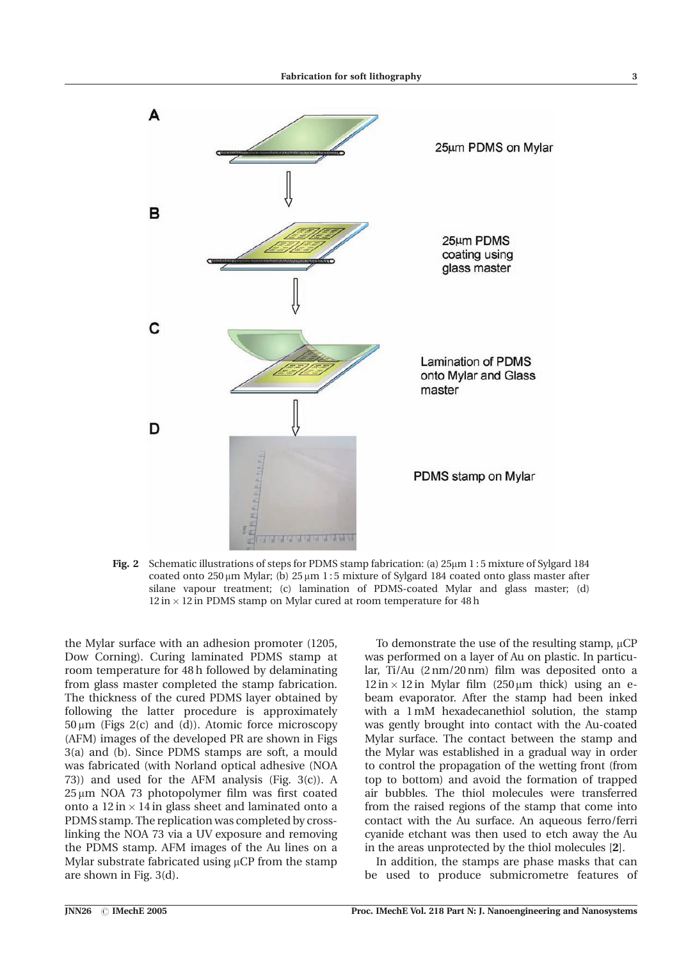

Fig. 2 Schematic illustrations of steps for PDMS stamp fabrication: (a) 25µm 1:5 mixture of Sylgard 184 coated onto  $250 \mu m$  Mylar; (b)  $25 \mu m$  1:5 mixture of Sylgard 184 coated onto glass master after silane vapour treatment; (c) lamination of PDMS-coated Mylar and glass master; (d)  $12 \text{ in} \times 12 \text{ in PDMS}$  stamp on Mylar cured at room temperature for 48 h

the Mylar surface with an adhesion promoter (1205, Dow Corning). Curing laminated PDMS stamp at room temperature for 48 h followed by delaminating from glass master completed the stamp fabrication. The thickness of the cured PDMS layer obtained by following the latter procedure is approximately 50μm (Figs 2(c) and (d)). Atomic force microscopy (AFM) images of the developed PR are shown in Figs 3(a) and (b). Since PDMS stamps are soft, a mould was fabricated (with Norland optical adhesive (NOA 73)) and used for the AFM analysis (Fig. 3(c)). A 25 µm NOA 73 photopolymer film was first coated onto a  $12 \text{ in} \times 14 \text{ in glass sheet}$  and laminated onto a PDMS stamp. The replication was completed by crosslinking the NOA 73 via a UV exposure and removing the PDMS stamp. AFM images of the Au lines on a Mylar substrate fabricated using  $\mu$ CP from the stamp are shown in Fig. 3(d).

To demonstrate the use of the resulting stamp,  $\mu CP$ was performed on a layer of Au on plastic. In particular, Ti/Au (2 nm/20 nm) film was deposited onto a  $12 \text{ in} \times 12 \text{ in}$  Mylar film (250 µm thick) using an ebeam evaporator. After the stamp had been inked with a 1 mM hexadecanethiol solution, the stamp was gently brought into contact with the Au-coated Mylar surface. The contact between the stamp and the Mylar was established in a gradual way in order to control the propagation of the wetting front (from top to bottom) and avoid the formation of trapped air bubbles. The thiol molecules were transferred from the raised regions of the stamp that come into contact with the Au surface. An aqueous ferro/ferri cyanide etchant was then used to etch away the Au in the areas unprotected by the thiol molecules [2].

In addition, the stamps are phase masks that can be used to produce submicrometre features of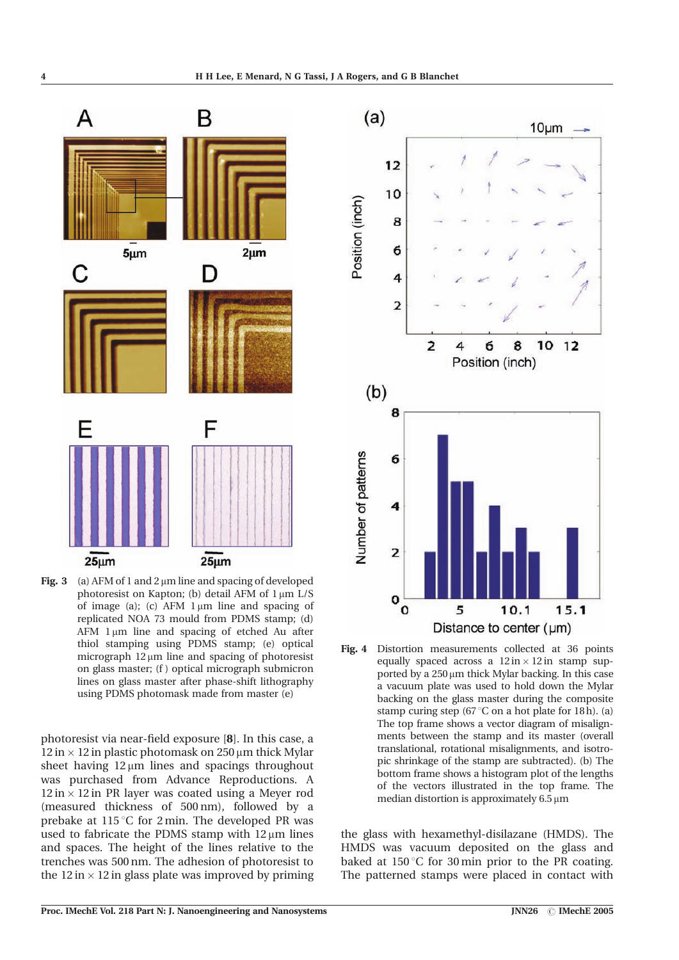



photoresist via near-field exposure [8]. In this case, a  $12 \text{ in } \times 12$  in plastic photomask on 250  $\mu$ m thick Mylar sheet having  $12 \mu m$  lines and spacings throughout was purchased from Advance Reproductions. A  $12 \text{ in} \times 12 \text{ in}$  PR layer was coated using a Meyer rod (measured thickness of 500 nm), followed by a prebake at 115 °C for 2 min. The developed PR was used to fabricate the PDMS stamp with  $12 \mu m$  lines and spaces. The height of the lines relative to the trenches was 500 nm. The adhesion of photoresist to the 12 in  $\times$  12 in glass plate was improved by priming



Fig.  $4$ Distortion measurements collected at 36 points equally spaced across a  $12 \text{ in} \times 12 \text{ in}$  stamp supported by a  $250 \mu m$  thick Mylar backing. In this case a vacuum plate was used to hold down the Mylar backing on the glass master during the composite stamp curing step (67 $\degree$ C on a hot plate for 18h). (a) The top frame shows a vector diagram of misalignments between the stamp and its master (overall translational, rotational misalignments, and isotropic shrinkage of the stamp are subtracted). (b) The bottom frame shows a histogram plot of the lengths of the vectors illustrated in the top frame. The median distortion is approximately  $6.5 \,\mu m$ 

the glass with hexamethyl-disilazane (HMDS). The HMDS was vacuum deposited on the glass and baked at  $150^{\circ}$ C for 30 min prior to the PR coating. The patterned stamps were placed in contact with